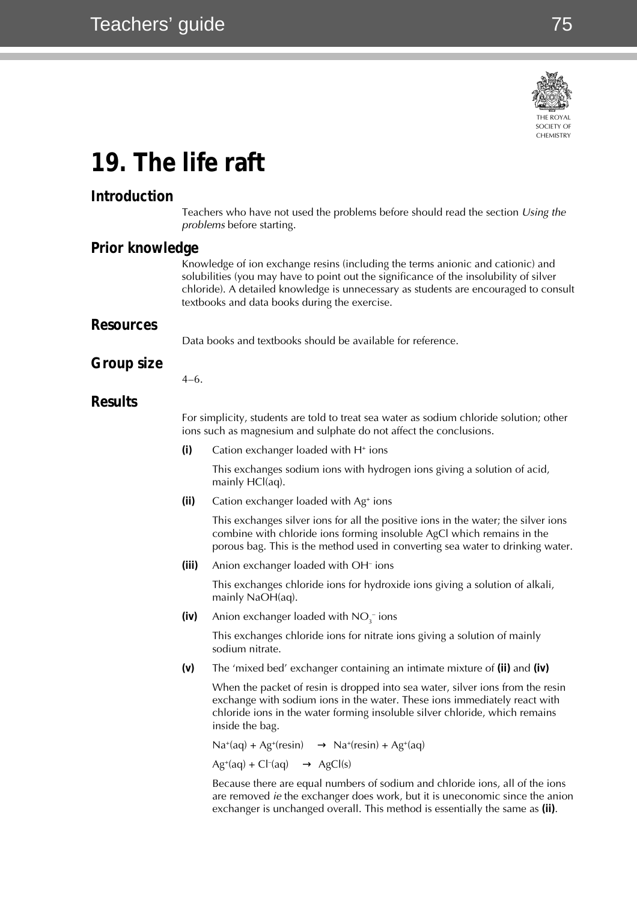75



# **19. The life raft**

## **Introduction**

Teachers who have not used the problems before should read the section Using the problems before starting.

#### **Prior knowledge**

Knowledge of ion exchange resins (including the terms anionic and cationic) and solubilities (you may have to point out the significance of the insolubility of silver chloride). A detailed knowledge is unnecessary as students are encouraged to consult textbooks and data books during the exercise.

#### **Resources**

Data books and textbooks should be available for reference.

### **Group size**

4–6.

#### **Results**

For simplicity, students are told to treat sea water as sodium chloride solution; other ions such as magnesium and sulphate do not affect the conclusions.

**(i)** Cation exchanger loaded with H<sup>+</sup> ions

This exchanges sodium ions with hydrogen ions giving a solution of acid, mainly HCl(aq).

**(ii)** Cation exchanger loaded with Ag+ ions

This exchanges silver ions for all the positive ions in the water; the silver ions combine with chloride ions forming insoluble AgCl which remains in the porous bag. This is the method used in converting sea water to drinking water.

**(iii)** Anion exchanger loaded with OH<sup>-</sup> ions

This exchanges chloride ions for hydroxide ions giving a solution of alkali, mainly NaOH(aq).

 $(iv)$  – Anion exchanger loaded with  $NO_{3}^-$  ions

This exchanges chloride ions for nitrate ions giving a solution of mainly sodium nitrate.

**(v)** The 'mixed bed' exchanger containing an intimate mixture of **(ii)** and **(iv)**

When the packet of resin is dropped into sea water, silver ions from the resin exchange with sodium ions in the water. These ions immediately react with chloride ions in the water forming insoluble silver chloride, which remains inside the bag.

 $Na^+(aq) + Ag^+(resin) \longrightarrow Na^+(resin) + Ag^+(aq)$ 

 $Ag^+(aq) + Cl^-(aq) \longrightarrow AgCl(s)$ 

Because there are equal numbers of sodium and chloride ions, all of the ions are removed ie the exchanger does work, but it is uneconomic since the anion exchanger is unchanged overall. This method is essentially the same as **(ii)**.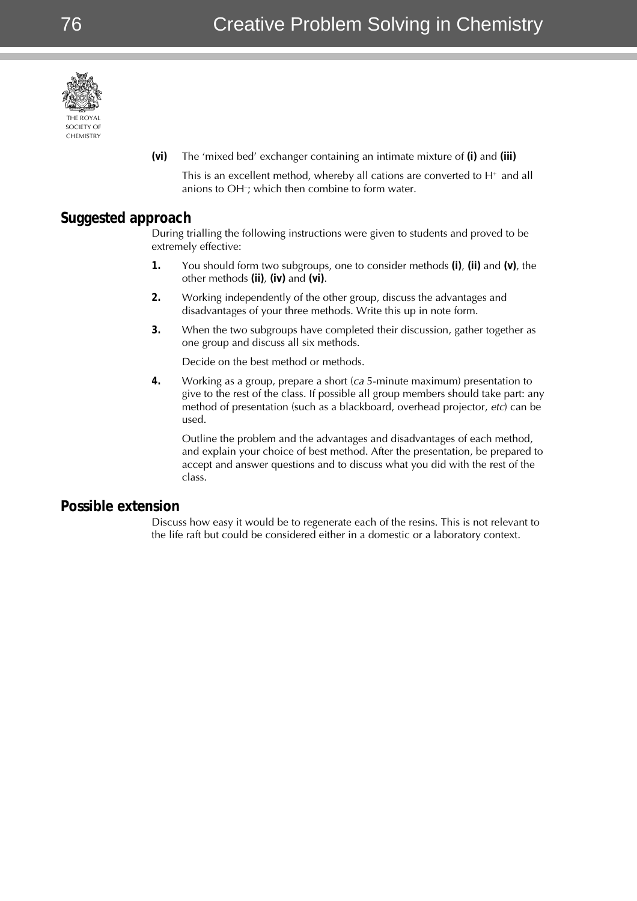

**(vi)** The 'mixed bed' exchanger containing an intimate mixture of **(i)** and **(iii)**

This is an excellent method, whereby all cations are converted to  $H^*$  and all anions to OH– ; which then combine to form water.

## **Suggested approach**

During trialling the following instructions were given to students and proved to be extremely effective:

- **1.** You should form two subgroups, one to consider methods **(i)**, **(ii)** and **(v)**, the other methods **(ii)**, **(iv)** and **(vi)**.
- **2.** Working independently of the other group, discuss the advantages and disadvantages of your three methods. Write this up in note form.
- **3.** When the two subgroups have completed their discussion, gather together as one group and discuss all six methods.

Decide on the best method or methods.

**4.** Working as a group, prepare a short (ca 5-minute maximum) presentation to give to the rest of the class. If possible all group members should take part: any method of presentation (such as a blackboard, overhead projector, etc) can be used.

Outline the problem and the advantages and disadvantages of each method, and explain your choice of best method. After the presentation, be prepared to accept and answer questions and to discuss what you did with the rest of the class.

### **Possible extension**

Discuss how easy it would be to regenerate each of the resins. This is not relevant to the life raft but could be considered either in a domestic or a laboratory context.